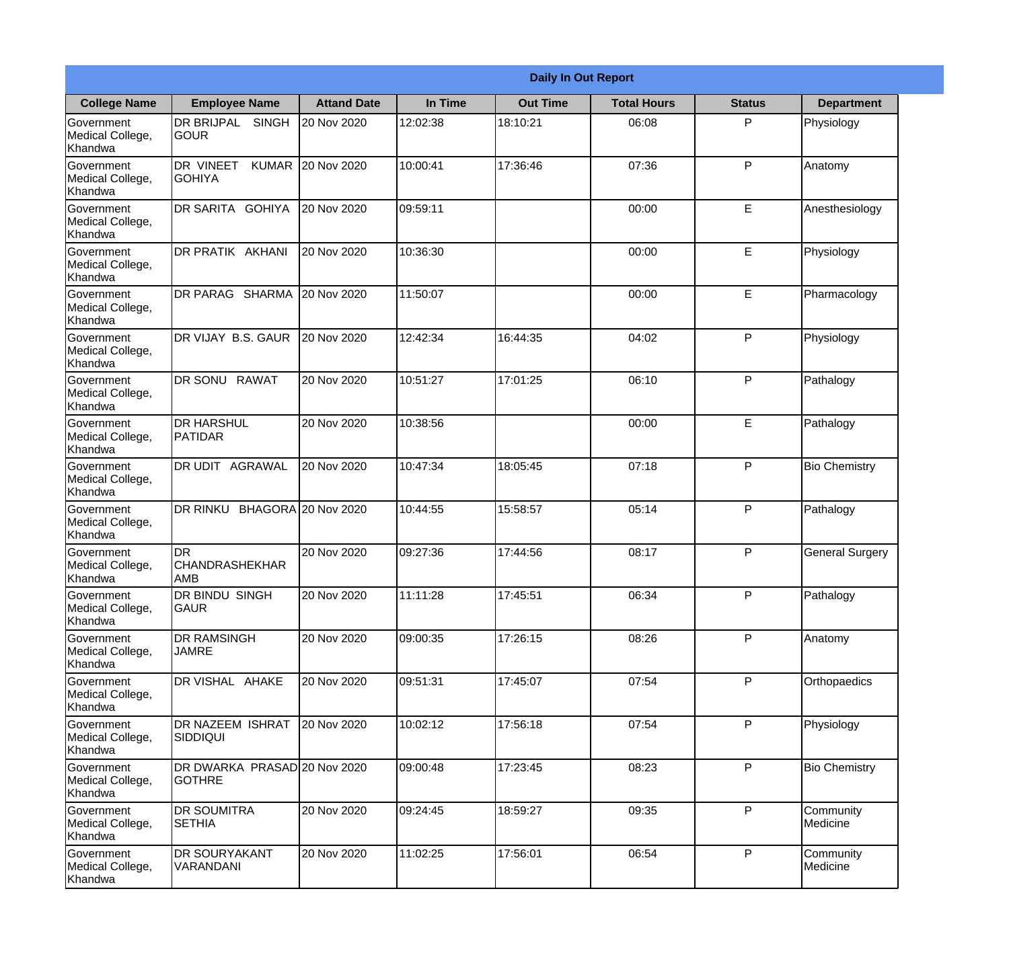|                                                  |                                                   |                     |          | <b>Daily In Out Report</b> |                    |               |                        |
|--------------------------------------------------|---------------------------------------------------|---------------------|----------|----------------------------|--------------------|---------------|------------------------|
| <b>College Name</b>                              | <b>Employee Name</b>                              | <b>Attand Date</b>  | In Time  | <b>Out Time</b>            | <b>Total Hours</b> | <b>Status</b> | <b>Department</b>      |
| Government<br>Medical College,<br>Khandwa        | <b>DR BRIJPAL</b><br><b>SINGH</b><br> GOUR        | 20 Nov 2020         | 12:02:38 | 18:10:21                   | 06:08              | P             | Physiology             |
| Government<br>Medical College,<br>Khandwa        | <b>DR VINEET</b><br><b>KUMAR</b><br><b>GOHIYA</b> | 20 Nov 2020         | 10:00:41 | 17:36:46                   | 07:36              | P             | Anatomy                |
| <b>Government</b><br>Medical College,<br>Khandwa | <b>DR SARITA GOHIYA</b>                           | 20 Nov 2020         | 09:59:11 |                            | 00:00              | E             | Anesthesiology         |
| Government<br>Medical College,<br>Khandwa        | <b>DR PRATIK AKHANI</b>                           | 20 Nov 2020         | 10:36:30 |                            | 00:00              | E             | Physiology             |
| Government<br>Medical College,<br>Khandwa        | DR PARAG SHARMA                                   | 20 Nov 2020         | 11:50:07 |                            | 00:00              | E             | Pharmacology           |
| Government<br>Medical College,<br>Khandwa        | DR VIJAY B.S. GAUR                                | 20 Nov 2020         | 12:42:34 | 16:44:35                   | 04:02              | P             | Physiology             |
| Government<br>Medical College,<br>Khandwa        | DR SONU RAWAT                                     | 20 Nov 2020         | 10:51:27 | 17:01:25                   | 06:10              | P             | Pathalogy              |
| <b>Government</b><br>Medical College,<br>Khandwa | <b>DR HARSHUL</b><br>PATIDAR                      | 20 Nov 2020         | 10:38:56 |                            | 00:00              | E             | Pathalogy              |
| Government<br>Medical College,<br>Khandwa        | <b>DR UDIT AGRAWAL</b>                            | 20 Nov 2020         | 10:47:34 | 18:05:45                   | 07:18              | P             | <b>Bio Chemistry</b>   |
| Government<br>Medical College,<br>Khandwa        | <b>DR RINKU</b>                                   | BHAGORA 20 Nov 2020 | 10:44:55 | 15:58:57                   | 05:14              | P             | Pathalogy              |
| Government<br>Medical College,<br>Khandwa        | IDR<br><b>CHANDRASHEKHAR</b><br> AMB              | 20 Nov 2020         | 09:27:36 | 17:44:56                   | 08:17              | $\mathsf{P}$  | <b>General Surgery</b> |
| Government<br>Medical College,<br>Khandwa        | <b>DR BINDU SINGH</b><br><b>GAUR</b>              | 20 Nov 2020         | 11:11:28 | 17:45:51                   | 06:34              | P             | Pathalogy              |
| Government<br>Medical College,<br>Khandwa        | <b>DR RAMSINGH</b><br><b>JAMRE</b>                | 20 Nov 2020         | 09:00:35 | 17:26:15                   | 08:26              | P             | Anatomy                |
| Government<br>Medical College,<br>Khandwa        | DR VISHAL AHAKE                                   | 20 Nov 2020         | 09:51:31 | 17:45:07                   | 07:54              | P             | Orthopaedics           |
| Government<br>Medical College,<br>Khandwa        | <b>DR NAZEEM ISHRAT</b><br>SIDDIQUI               | 20 Nov 2020         | 10:02:12 | 17:56:18                   | 07:54              | $\mathsf{P}$  | Physiology             |
| Government<br>Medical College,<br>Khandwa        | DR DWARKA PRASAD 20 Nov 2020<br><b>GOTHRE</b>     |                     | 09:00:48 | 17:23:45                   | 08:23              | P             | <b>Bio Chemistry</b>   |
| Government<br>Medical College,<br>Khandwa        | <b>DR SOUMITRA</b><br><b>SETHIA</b>               | 20 Nov 2020         | 09:24:45 | 18:59:27                   | 09:35              | P             | Community<br>Medicine  |
| Government<br>Medical College,<br>Khandwa        | <b>DR SOURYAKANT</b><br>VARANDANI                 | 20 Nov 2020         | 11:02:25 | 17:56:01                   | 06:54              | P             | Community<br>Medicine  |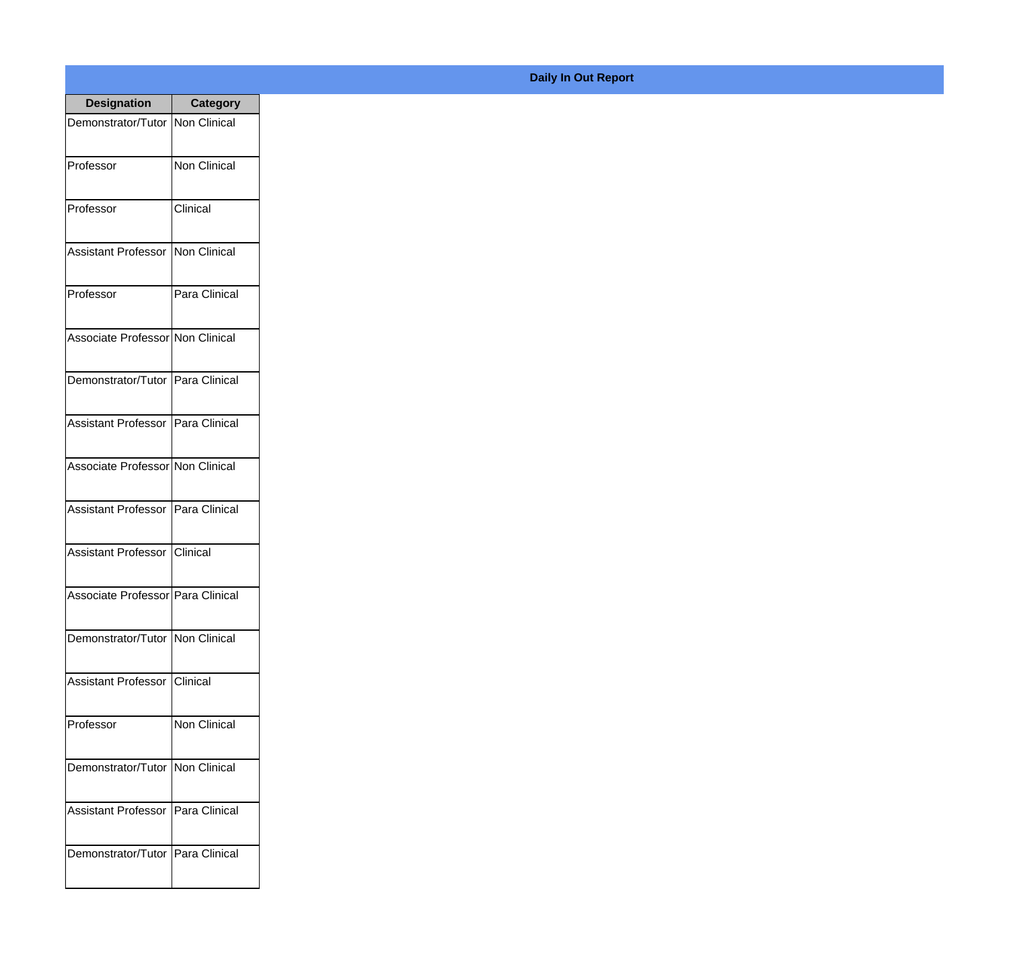| <b>Designation</b>                  | <b>Category</b>                |
|-------------------------------------|--------------------------------|
| Demonstrator/Tutor Non Clinical     |                                |
| Professor                           | Non Clinical                   |
| Professor                           | Clinical                       |
| <b>Assistant Professor</b>          | Non Clinical                   |
| Professor                           | Para Clinical                  |
| Associate Professor Non Clinical    |                                |
| Demonstrator/Tutor Para Clinical    |                                |
| Assistant Professor   Para Clinical |                                |
| Associate Professor Non Clinical    |                                |
| Assistant Professor   Para Clinical |                                |
| Assistant Professor                 | <i><u><b>I</b>Clinical</u></i> |
| Associate Professor Para Clinical   |                                |
| Demonstrator/Tutor Non Clinical     |                                |
| Assistant Professor   Clinical      |                                |
| Professor                           | Non Clinical                   |
| Demonstrator/Tutor   Non Clinical   |                                |
| <b>Assistant Professor</b>          | Para Clinical                  |
| Demonstrator/Tutor   Para Clinical  |                                |

## **Daily In Out Report**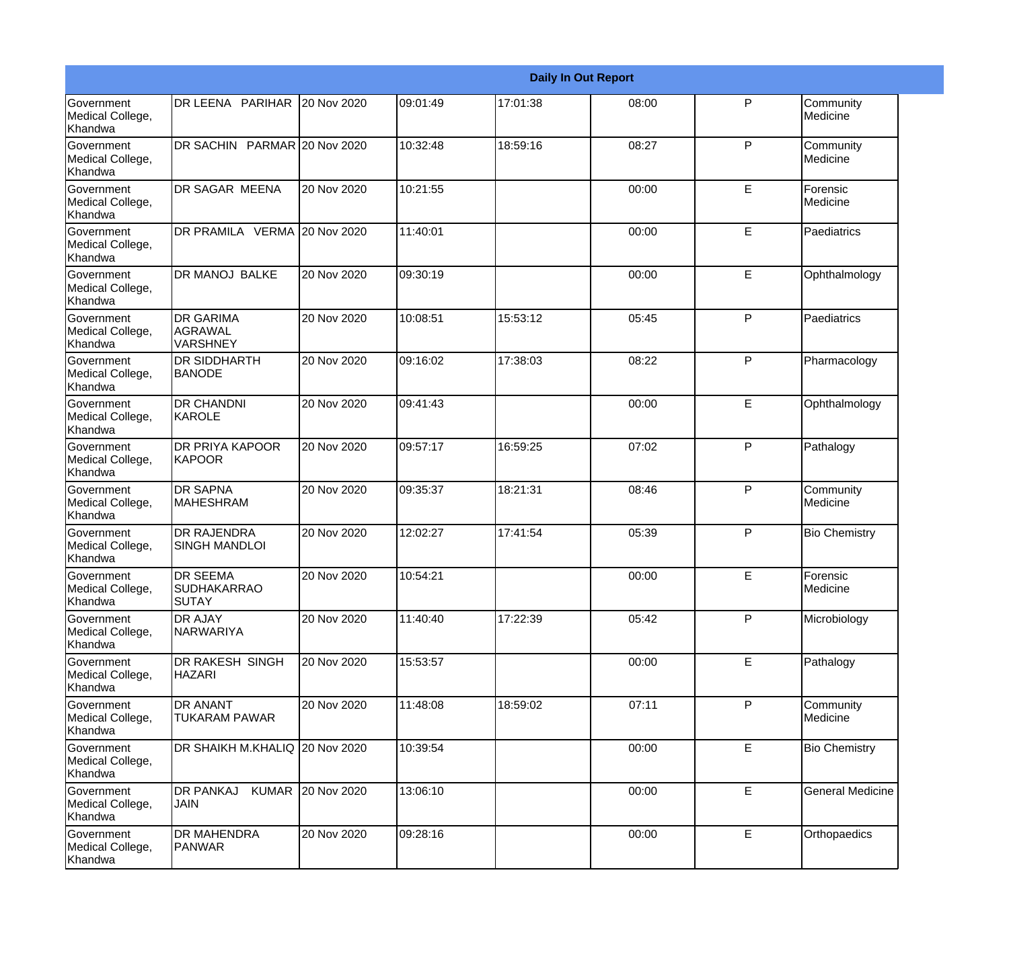|                                                         |                                                       |                   |          |          | <b>Daily In Out Report</b> |              |                         |
|---------------------------------------------------------|-------------------------------------------------------|-------------------|----------|----------|----------------------------|--------------|-------------------------|
| Government<br>Medical College,<br>Khandwa               | DR LEENA PARIHAR 20 Nov 2020                          |                   | 09:01:49 | 17:01:38 | 08:00                      | P            | Community<br>Medicine   |
| <b>Government</b><br>Medical College,<br>Khandwa        | DR SACHIN PARMAR 20 Nov 2020                          |                   | 10:32:48 | 18:59:16 | 08:27                      | $\mathsf{P}$ | Community<br>Medicine   |
| <b>Government</b><br>Medical College,<br><b>Khandwa</b> | DR SAGAR MEENA                                        | 20 Nov 2020       | 10:21:55 |          | 00:00                      | E            | Forensic<br>Medicine    |
| <b>Government</b><br>Medical College,<br>Khandwa        | DR PRAMILA VERMA 20 Nov 2020                          |                   | 11:40:01 |          | 00:00                      | E            | Paediatrics             |
| <b>Government</b><br>Medical College,<br>Khandwa        | DR MANOJ BALKE                                        | 20 Nov 2020       | 09:30:19 |          | 00:00                      | E            | Ophthalmology           |
| <b>Government</b><br>Medical College,<br>Khandwa        | <b>DR GARIMA</b><br>AGRAWAL<br><b>VARSHNEY</b>        | 20 Nov 2020       | 10:08:51 | 15:53:12 | 05:45                      | $\mathsf{P}$ | Paediatrics             |
| Government<br>Medical College,<br>Khandwa               | <b>DR SIDDHARTH</b><br><b>BANODE</b>                  | 20 Nov 2020       | 09:16:02 | 17:38:03 | 08:22                      | P            | Pharmacology            |
| Government<br>Medical College,<br>Khandwa               | <b>DR CHANDNI</b><br>KAROLE                           | 20 Nov 2020       | 09:41:43 |          | 00:00                      | E            | Ophthalmology           |
| Government<br>Medical College,<br>Khandwa               | <b>DR PRIYA KAPOOR</b><br><b>KAPOOR</b>               | 20 Nov 2020       | 09:57:17 | 16:59:25 | 07:02                      | $\mathsf{P}$ | Pathalogy               |
| <b>Government</b><br>Medical College,<br>Khandwa        | <b>DR SAPNA</b><br><b>MAHESHRAM</b>                   | 20 Nov 2020       | 09:35:37 | 18:21:31 | 08:46                      | P            | Community<br>Medicine   |
| <b>Government</b><br>Medical College,<br>Khandwa        | <b>DR RAJENDRA</b><br><b>SINGH MANDLOI</b>            | 20 Nov 2020       | 12:02:27 | 17:41:54 | 05:39                      | P            | <b>Bio Chemistry</b>    |
| Government<br>Medical College,<br>Khandwa               | <b>DR SEEMA</b><br><b>SUDHAKARRAO</b><br><b>SUTAY</b> | 20 Nov 2020       | 10:54:21 |          | 00:00                      | E            | Forensic<br>Medicine    |
| <b>Government</b><br>Medical College,<br>Khandwa        | <b>DR AJAY</b><br>NARWARIYA                           | 20 Nov 2020       | 11:40:40 | 17:22:39 | 05:42                      | P            | Microbiology            |
| Government<br>Medical College,<br>Khandwa               | DR RAKESH SINGH<br><b>HAZARI</b>                      | 20 Nov 2020       | 15:53:57 |          | 00:00                      | E            | Pathalogy               |
| Government<br>Medical College,<br>Khandwa               | <b>DR ANANT</b><br><b>TUKARAM PAWAR</b>               | 20 Nov 2020       | 11:48:08 | 18:59:02 | 07:11                      | P            | Community<br>Medicine   |
| Government<br>Medical College,<br>Khandwa               | DR SHAIKH M.KHALIQ 20 Nov 2020                        |                   | 10:39:54 |          | 00:00                      | E            | <b>Bio Chemistry</b>    |
| Government<br>Medical College,<br>Khandwa               | <b>DR PANKAJ</b><br><b>JAIN</b>                       | KUMAR 20 Nov 2020 | 13:06:10 |          | 00:00                      | E            | <b>General Medicine</b> |
| Government<br>Medical College,<br>Khandwa               | <b>DR MAHENDRA</b><br>PANWAR                          | 20 Nov 2020       | 09:28:16 |          | 00:00                      | E            | Orthopaedics            |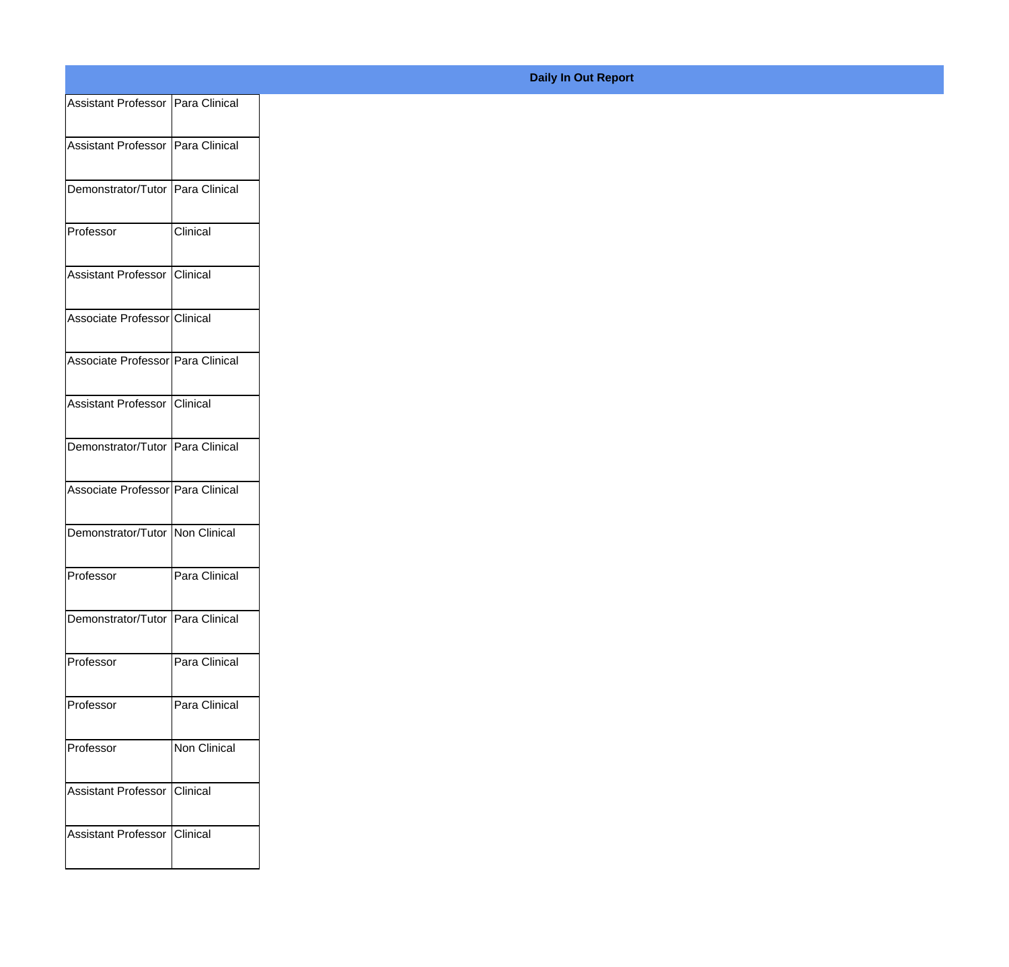| Assistant Professor Para Clinical |                 |
|-----------------------------------|-----------------|
| Assistant Professor Para Clinical |                 |
|                                   |                 |
| Demonstrator/Tutor Para Clinical  |                 |
| Professor                         | <b>Clinical</b> |
|                                   |                 |
| Assistant Professor Clinical      |                 |
| Associate Professor Clinical      |                 |
|                                   |                 |
| Associate Professor Para Clinical |                 |
| Assistant Professor Clinical      |                 |
|                                   |                 |
| Demonstrator/Tutor Para Clinical  |                 |
| Associate Professor Para Clinical |                 |
| Demonstrator/Tutor Non Clinical   |                 |
|                                   |                 |
| Professor                         | Para Clinical   |
| Demonstrator/Tutor Para Clinical  |                 |
|                                   |                 |
| Professor                         | Para Clinical   |
| Professor                         | Para Clinical   |
|                                   |                 |
| Professor                         | Non Clinical    |
| Assistant Professor               | <b>Clinical</b> |
|                                   |                 |
| Assistant Professor               | Clinical        |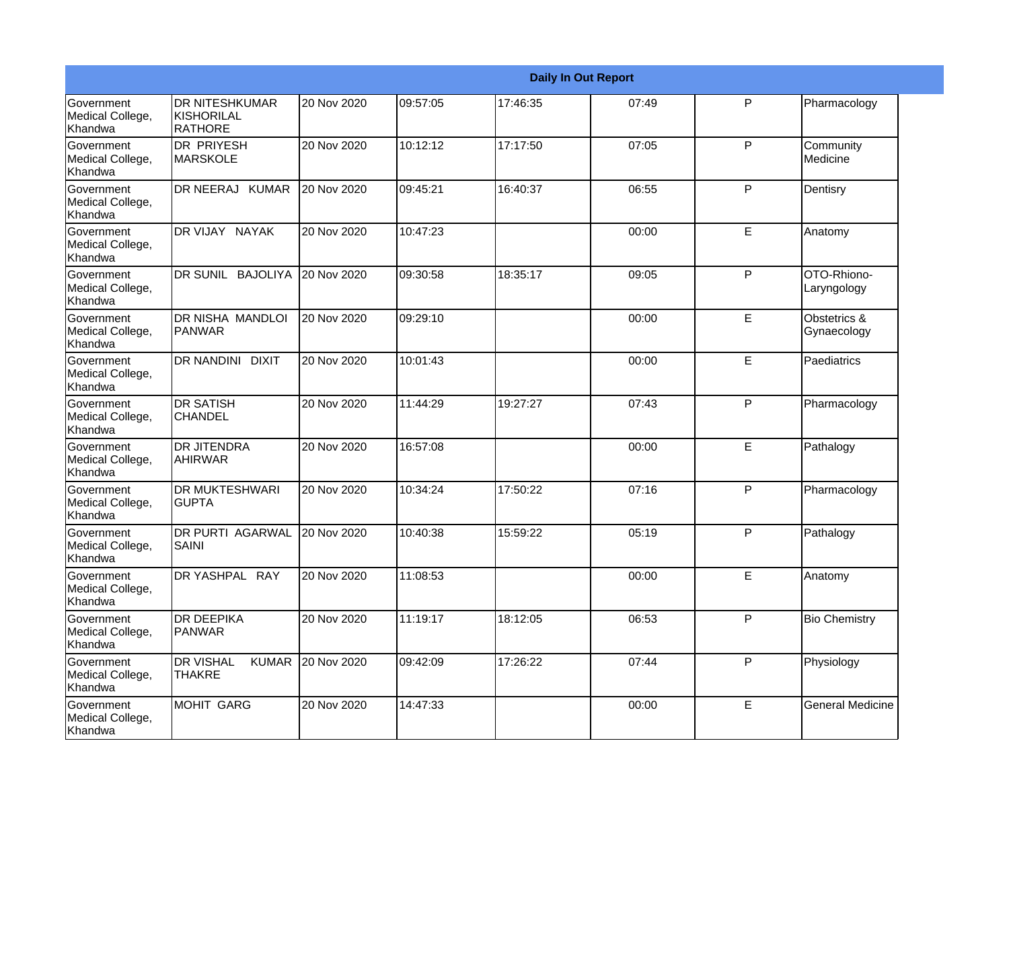|                                                  |                                                   |             |          |          | <b>Daily In Out Report</b> |   |                             |
|--------------------------------------------------|---------------------------------------------------|-------------|----------|----------|----------------------------|---|-----------------------------|
| Government<br>Medical College,<br>Khandwa        | <b>DR NITESHKUMAR</b><br>KISHORILAL<br>RATHORE    | 20 Nov 2020 | 09:57:05 | 17:46:35 | 07:49                      | P | Pharmacology                |
| Government<br>Medical College,<br>Khandwa        | <b>DR PRIYESH</b><br>MARSKOLE                     | 20 Nov 2020 | 10:12:12 | 17:17:50 | 07:05                      | P | Community<br>Medicine       |
| <b>Government</b><br>Medical College,<br>Khandwa | DR NEERAJ KUMAR                                   | 20 Nov 2020 | 09:45:21 | 16:40:37 | 06:55                      | P | Dentisry                    |
| <b>Government</b><br>Medical College,<br>Khandwa | DR VIJAY NAYAK                                    | 20 Nov 2020 | 10:47:23 |          | 00:00                      | E | Anatomy                     |
| Government<br>Medical College,<br>Khandwa        | DR SUNIL<br><b>BAJOLIYA</b>                       | 20 Nov 2020 | 09:30:58 | 18:35:17 | 09:05                      | P | OTO-Rhiono-<br>Laryngology  |
| Government<br>Medical College,<br>Khandwa        | <b>DR NISHA MANDLOI</b><br>PANWAR                 | 20 Nov 2020 | 09:29:10 |          | 00:00                      | E | Obstetrics &<br>Gynaecology |
| Government<br>Medical College,<br>Khandwa        | <b>DR NANDINI DIXIT</b>                           | 20 Nov 2020 | 10:01:43 |          | 00:00                      | E | Paediatrics                 |
| Government<br>Medical College,<br>Khandwa        | <b>DR SATISH</b><br><b>CHANDEL</b>                | 20 Nov 2020 | 11:44:29 | 19:27:27 | 07:43                      | P | Pharmacology                |
| Government<br>Medical College,<br>Khandwa        | <b>DR JITENDRA</b><br><b>AHIRWAR</b>              | 20 Nov 2020 | 16:57:08 |          | 00:00                      | E | Pathalogy                   |
| Government<br>Medical College,<br>Khandwa        | <b>DR MUKTESHWARI</b><br><b>GUPTA</b>             | 20 Nov 2020 | 10:34:24 | 17:50:22 | 07:16                      | P | Pharmacology                |
| <b>Government</b><br>Medical College,<br>Khandwa | <b>DR PURTI AGARWAL</b><br>SAINI                  | 20 Nov 2020 | 10:40:38 | 15:59:22 | 05:19                      | P | Pathalogy                   |
| Government<br>Medical College,<br>Khandwa        | DR YASHPAL RAY                                    | 20 Nov 2020 | 11:08:53 |          | 00:00                      | Е | Anatomy                     |
| Government<br>Medical College,<br>Khandwa        | <b>DR DEEPIKA</b><br>PANWAR                       | 20 Nov 2020 | 11:19:17 | 18:12:05 | 06:53                      | P | <b>Bio Chemistry</b>        |
| Government<br>Medical College,<br>Khandwa        | <b>KUMAR</b><br><b>DR VISHAL</b><br><b>THAKRE</b> | 20 Nov 2020 | 09:42:09 | 17:26:22 | 07:44                      | P | Physiology                  |
| Government<br>Medical College,<br>Khandwa        | MOHIT GARG                                        | 20 Nov 2020 | 14:47:33 |          | 00:00                      | E | <b>General Medicine</b>     |